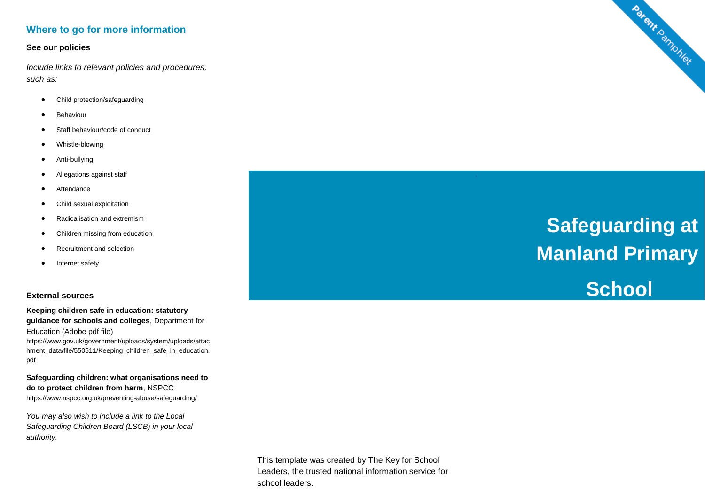# **Where to go for more information**

#### **See our policies**

*Include links to relevant policies and procedures, such as:*

- Child protection/safeguarding
- Behaviour
- Staff behaviour/code of conduct
- Whistle-blowing
- Anti-bullying
- Allegations against staff
- **Attendance**
- Child sexual exploitation
- Radicalisation and extremism
- Children missing from education
- Recruitment and selection
- Internet safety

### **External sources**

**Keeping children safe in education: statutory guidance for schools and colleges**, Department for Education (Adobe pdf file) https://www.gov.uk/government/uploads/system/uploads/attac hment\_data/file/550511/Keeping\_children\_safe\_in\_education. pdf

**Safeguarding children: what organisations need to do to protect children from harm**, NSPCC https://www.nspcc.org.uk/preventing-abuse/safeguarding/

*You may also wish to include a link to the Local Safeguarding Children Board (LSCB) in your local authority.* 

 **Safeguarding at Manland Primary** 

**School**

Parent Pamphlet

This template was created by The Key for School Leaders, the trusted national information service for school leaders.